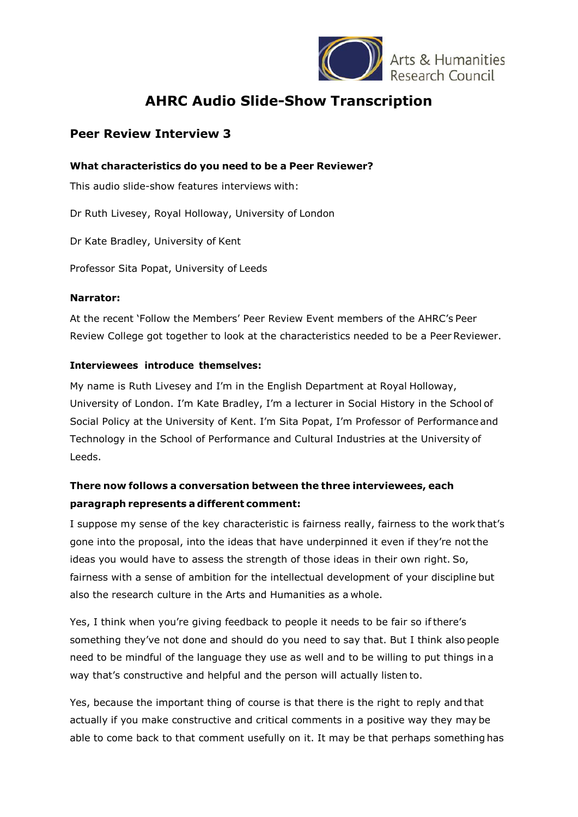

Arts & Humanities

# **AHRC Audio Slide-Show Transcription**

## **Peer Review Interview 3**

### **What characteristics do you need to be a Peer Reviewer?**

This audio slide-show features interviews with:

Dr Ruth Livesey, Royal Holloway, University of London

Dr Kate Bradley, University of Kent

Professor Sita Popat, University of Leeds

#### **Narrator:**

At the recent 'Follow the Members' Peer Review Event members of the AHRC's Peer Review College got together to look at the characteristics needed to be a Peer Reviewer.

### **Interviewees introduce themselves:**

My name is Ruth Livesey and I'm in the English Department at Royal Holloway, University of London. I'm Kate Bradley, I'm a lecturer in Social History in the School of Social Policy at the University of Kent. I'm Sita Popat, I'm Professor of Performance and Technology in the School of Performance and Cultural Industries at the University of Leeds.

# **There now follows a conversation between the three interviewees, each paragraph represents a different comment:**

I suppose my sense of the key characteristic is fairness really, fairness to the work that's gone into the proposal, into the ideas that have underpinned it even if they're not the ideas you would have to assess the strength of those ideas in their own right. So, fairness with a sense of ambition for the intellectual development of your discipline but also the research culture in the Arts and Humanities as a whole.

Yes, I think when you're giving feedback to people it needs to be fair so ifthere's something they've not done and should do you need to say that. But I think also people need to be mindful of the language they use as well and to be willing to put things in a way that's constructive and helpful and the person will actually listen to.

Yes, because the important thing of course is that there is the right to reply and that actually if you make constructive and critical comments in a positive way they may be able to come back to that comment usefully on it. It may be that perhaps something has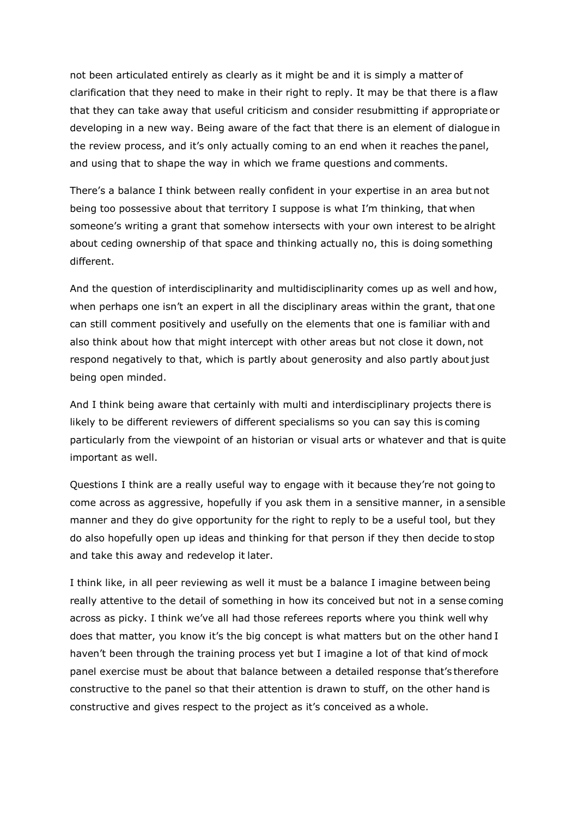not been articulated entirely as clearly as it might be and it is simply a matter of clarification that they need to make in their right to reply. It may be that there is a flaw that they can take away that useful criticism and consider resubmitting if appropriate or developing in a new way. Being aware of the fact that there is an element of dialogue in the review process, and it's only actually coming to an end when it reaches the panel, and using that to shape the way in which we frame questions and comments.

There's a balance I think between really confident in your expertise in an area but not being too possessive about that territory I suppose is what I'm thinking, that when someone's writing a grant that somehow intersects with your own interest to be alright about ceding ownership of that space and thinking actually no, this is doing something different.

And the question of interdisciplinarity and multidisciplinarity comes up as well and how, when perhaps one isn't an expert in all the disciplinary areas within the grant, that one can still comment positively and usefully on the elements that one is familiar with and also think about how that might intercept with other areas but not close it down, not respond negatively to that, which is partly about generosity and also partly aboutjust being open minded.

And I think being aware that certainly with multi and interdisciplinary projects there is likely to be different reviewers of different specialisms so you can say this is coming particularly from the viewpoint of an historian or visual arts or whatever and that is quite important as well.

Questions I think are a really useful way to engage with it because they're not going to come across as aggressive, hopefully if you ask them in a sensitive manner, in a sensible manner and they do give opportunity for the right to reply to be a useful tool, but they do also hopefully open up ideas and thinking for that person if they then decide to stop and take this away and redevelop it later.

I think like, in all peer reviewing as well it must be a balance I imagine between being really attentive to the detail of something in how its conceived but not in a sense coming across as picky. I think we've all had those referees reports where you think well why does that matter, you know it's the big concept is what matters but on the other hand I haven't been through the training process yet but I imagine a lot of that kind of mock panel exercise must be about that balance between a detailed response that's therefore constructive to the panel so that their attention is drawn to stuff, on the other hand is constructive and gives respect to the project as it's conceived as a whole.